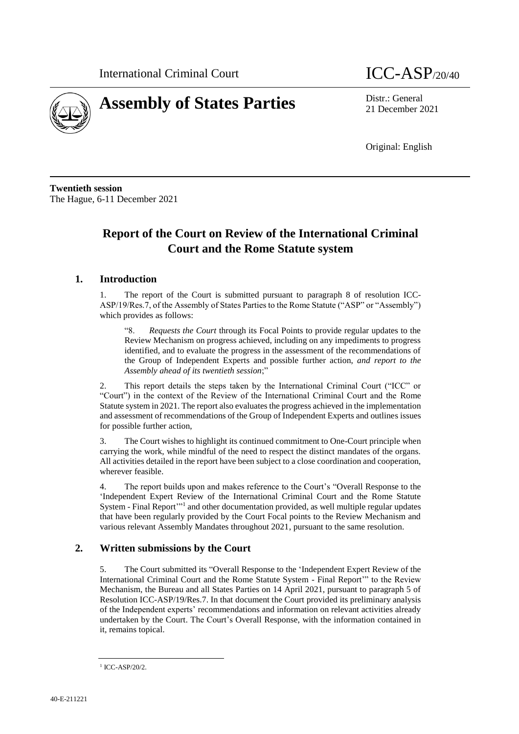

# **Assembly of States Parties** Distr.: General

21 December 2021

Original: English

**Twentieth session** The Hague, 6-11 December 2021

# **Report of the Court on Review of the International Criminal Court and the Rome Statute system**

# **1. Introduction**

1. The report of the Court is submitted pursuant to paragraph 8 of resolution ICC-ASP/19/Res.7, of the Assembly of States Parties to the Rome Statute ("ASP" or "Assembly") which provides as follows:

"8. *Requests the Court* through its Focal Points to provide regular updates to the Review Mechanism on progress achieved, including on any impediments to progress identified, and to evaluate the progress in the assessment of the recommendations of the Group of Independent Experts and possible further action, *and report to the Assembly ahead of its twentieth session*;"

This report details the steps taken by the International Criminal Court ("ICC" or "Court") in the context of the Review of the International Criminal Court and the Rome Statute system in 2021. The report also evaluates the progress achieved in the implementation and assessment of recommendations of the Group of Independent Experts and outlines issues for possible further action,

3. The Court wishes to highlight its continued commitment to One-Court principle when carrying the work, while mindful of the need to respect the distinct mandates of the organs. All activities detailed in the report have been subject to a close coordination and cooperation, wherever feasible.

4. The report builds upon and makes reference to the Court's "Overall Response to the 'Independent Expert Review of the International Criminal Court and the Rome Statute System - Final Report"<sup>1</sup> and other documentation provided, as well multiple regular updates that have been regularly provided by the Court Focal points to the Review Mechanism and various relevant Assembly Mandates throughout 2021, pursuant to the same resolution.

# **2. Written submissions by the Court**

5. The Court submitted its "Overall Response to the 'Independent Expert Review of the International Criminal Court and the Rome Statute System - Final Report'" to the Review Mechanism, the Bureau and all States Parties on 14 April 2021, pursuant to paragraph 5 of Resolution ICC-ASP/19/Res.7. In that document the Court provided its preliminary analysis of the Independent experts' recommendations and information on relevant activities already undertaken by the Court. The Court's Overall Response, with the information contained in it, remains topical.

<sup>1</sup> ICC-ASP/20/2.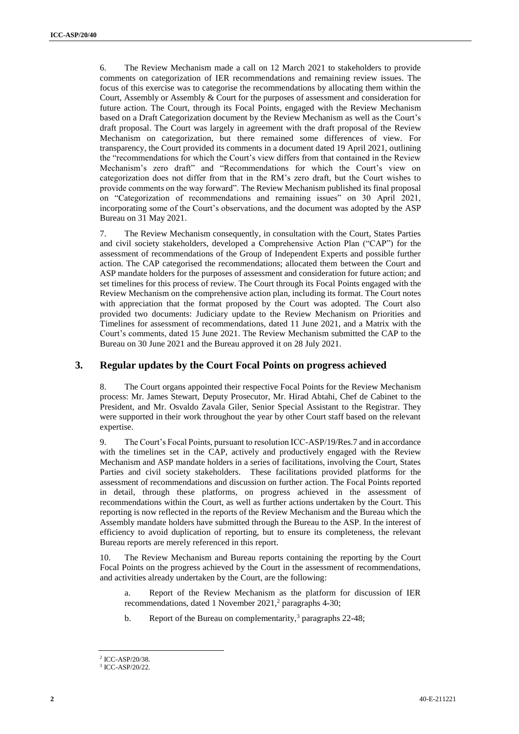6. The Review Mechanism made a call on 12 March 2021 to stakeholders to provide comments on categorization of IER recommendations and remaining review issues. The focus of this exercise was to categorise the recommendations by allocating them within the Court, Assembly or Assembly & Court for the purposes of assessment and consideration for future action. The Court, through its Focal Points, engaged with the Review Mechanism based on a Draft Categorization document by the Review Mechanism as well as the Court's draft proposal. The Court was largely in agreement with the draft proposal of the Review Mechanism on categorization, but there remained some differences of view. For transparency, the Court provided its comments in a document dated 19 April 2021, outlining the "recommendations for which the Court's view differs from that contained in the Review Mechanism's zero draft" and "Recommendations for which the Court's view on categorization does not differ from that in the RM's zero draft, but the Court wishes to provide comments on the way forward". The Review Mechanism published its final proposal on "Categorization of recommendations and remaining issues" on 30 April 2021, incorporating some of the Court's observations, and the document was adopted by the ASP Bureau on 31 May 2021.

7. The Review Mechanism consequently, in consultation with the Court, States Parties and civil society stakeholders, developed a Comprehensive Action Plan ("CAP") for the assessment of recommendations of the Group of Independent Experts and possible further action. The CAP categorised the recommendations; allocated them between the Court and ASP mandate holders for the purposes of assessment and consideration for future action; and set timelines for this process of review. The Court through its Focal Points engaged with the Review Mechanism on the comprehensive action plan, including its format. The Court notes with appreciation that the format proposed by the Court was adopted. The Court also provided two documents: Judiciary update to the Review Mechanism on Priorities and Timelines for assessment of recommendations, dated 11 June 2021, and a Matrix with the Court's comments, dated 15 June 2021. The Review Mechanism submitted the CAP to the Bureau on 30 June 2021 and the Bureau approved it on 28 July 2021.

### **3. Regular updates by the Court Focal Points on progress achieved**

8. The Court organs appointed their respective Focal Points for the Review Mechanism process: Mr. James Stewart, Deputy Prosecutor, Mr. Hirad Abtahi, Chef de Cabinet to the President, and Mr. Osvaldo Zavala Giler, Senior Special Assistant to the Registrar. They were supported in their work throughout the year by other Court staff based on the relevant expertise.

9. The Court's Focal Points, pursuant to resolution ICC-ASP/19/Res.7 and in accordance with the timelines set in the CAP, actively and productively engaged with the Review Mechanism and ASP mandate holders in a series of facilitations, involving the Court, States Parties and civil society stakeholders. These facilitations provided platforms for the assessment of recommendations and discussion on further action. The Focal Points reported in detail, through these platforms, on progress achieved in the assessment of recommendations within the Court, as well as further actions undertaken by the Court. This reporting is now reflected in the reports of the Review Mechanism and the Bureau which the Assembly mandate holders have submitted through the Bureau to the ASP. In the interest of efficiency to avoid duplication of reporting, but to ensure its completeness, the relevant Bureau reports are merely referenced in this report.

10. The Review Mechanism and Bureau reports containing the reporting by the Court Focal Points on the progress achieved by the Court in the assessment of recommendations, and activities already undertaken by the Court, are the following:

- a. Report of the Review Mechanism as the platform for discussion of IER recommendations, dated 1 November 2021,<sup>2</sup> paragraphs 4-30;
- b. Report of the Bureau on complementarity,<sup>3</sup> paragraphs  $22-48$ ;

<sup>2</sup> ICC-ASP/20/38.

<sup>3</sup> ICC-ASP/20/22.